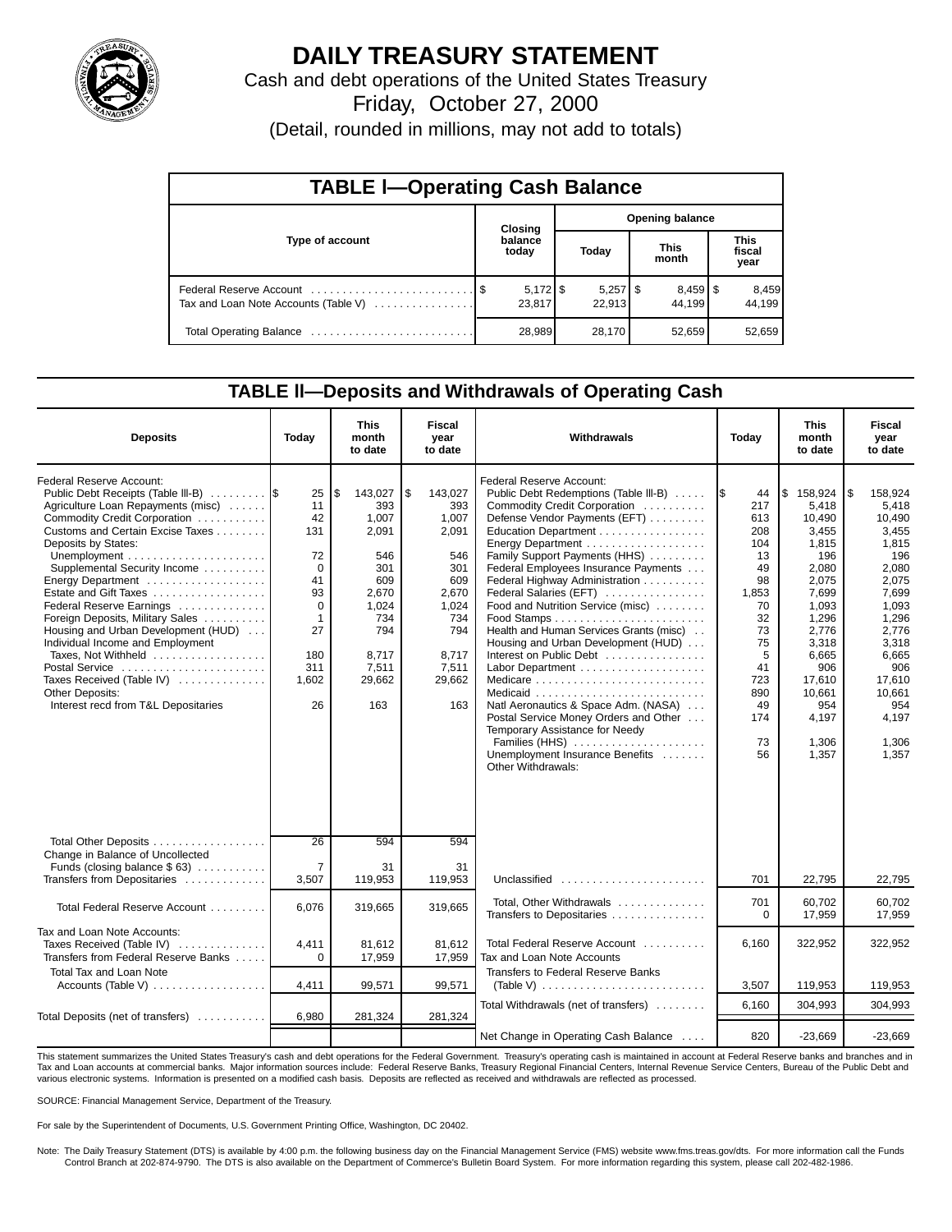

# **DAILY TREASURY STATEMENT**

Cash and debt operations of the United States Treasury Friday, October 27, 2000

(Detail, rounded in millions, may not add to totals)

| <b>TABLE I-Operating Cash Balance</b> |  |                      |                        |                      |                      |                      |                               |                 |  |  |
|---------------------------------------|--|----------------------|------------------------|----------------------|----------------------|----------------------|-------------------------------|-----------------|--|--|
|                                       |  | Closing              | <b>Opening balance</b> |                      |                      |                      |                               |                 |  |  |
| Type of account                       |  | balance<br>today     | Today                  |                      | <b>This</b><br>month |                      | <b>This</b><br>fiscal<br>year |                 |  |  |
| Tax and Loan Note Accounts (Table V)  |  | $5,172$ \$<br>23,817 |                        | $5,257$ \$<br>22.913 |                      | $8,459$ \$<br>44.199 |                               | 8,459<br>44,199 |  |  |
|                                       |  | 28,989               |                        | 28,170               |                      | 52,659               |                               | 52,659          |  |  |

### **TABLE ll—Deposits and Withdrawals of Operating Cash**

| <b>Deposits</b>                                                                                                                                                                                                                                                                                                                                                                                                                                                                                                                                                     | Today                                                                                                       | <b>This</b><br>month<br>to date                                                                                                | <b>Fiscal</b><br>vear<br>to date                                                                                              | Withdrawals                                                                                                                                                                                                                                                                                                                                                                                                                                                                                                                                                                                                                                                         | Today                                                                                                                                      | <b>This</b><br>month<br>to date                                                                                                                                                               | <b>Fiscal</b><br>vear<br>to date                                                                                                                                                                 |
|---------------------------------------------------------------------------------------------------------------------------------------------------------------------------------------------------------------------------------------------------------------------------------------------------------------------------------------------------------------------------------------------------------------------------------------------------------------------------------------------------------------------------------------------------------------------|-------------------------------------------------------------------------------------------------------------|--------------------------------------------------------------------------------------------------------------------------------|-------------------------------------------------------------------------------------------------------------------------------|---------------------------------------------------------------------------------------------------------------------------------------------------------------------------------------------------------------------------------------------------------------------------------------------------------------------------------------------------------------------------------------------------------------------------------------------------------------------------------------------------------------------------------------------------------------------------------------------------------------------------------------------------------------------|--------------------------------------------------------------------------------------------------------------------------------------------|-----------------------------------------------------------------------------------------------------------------------------------------------------------------------------------------------|--------------------------------------------------------------------------------------------------------------------------------------------------------------------------------------------------|
| Federal Reserve Account:<br>Public Debt Receipts (Table III-B)  \$<br>Agriculture Loan Repayments (misc)<br>Commodity Credit Corporation<br>Customs and Certain Excise Taxes<br>Deposits by States:<br>Supplemental Security Income<br>Energy Department<br>Estate and Gift Taxes<br>Federal Reserve Earnings<br>Foreign Deposits, Military Sales<br>Housing and Urban Development (HUD)<br>Individual Income and Employment<br>Taxes, Not Withheld<br>Postal Service<br>Taxes Received (Table IV)<br><b>Other Deposits:</b><br>Interest recd from T&L Depositaries | 25<br>11<br>42<br>131<br>72<br>$\Omega$<br>41<br>93<br>0<br>$\mathbf{1}$<br>27<br>180<br>311<br>1,602<br>26 | \$<br>143,027<br>393<br>1,007<br>2,091<br>546<br>301<br>609<br>2,670<br>1,024<br>734<br>794<br>8,717<br>7,511<br>29,662<br>163 | 5<br>143,027<br>393<br>1.007<br>2,091<br>546<br>301<br>609<br>2.670<br>1.024<br>734<br>794<br>8,717<br>7,511<br>29,662<br>163 | Federal Reserve Account:<br>Public Debt Redemptions (Table III-B)<br>Commodity Credit Corporation<br>Defense Vendor Payments (EFT)<br>Education Department<br>Family Support Payments (HHS)<br>Federal Employees Insurance Payments<br>Federal Highway Administration<br>Federal Salaries (EFT)<br>Food and Nutrition Service (misc)<br>Health and Human Services Grants (misc)<br>Housing and Urban Development (HUD)<br>Interest on Public Debt<br>Labor Department<br>Natl Aeronautics & Space Adm. (NASA)<br>Postal Service Money Orders and Other<br>Temporary Assistance for Needy<br>Families (HHS)<br>Unemployment Insurance Benefits<br>Other Withdrawals: | 44<br>I\$<br>217<br>613<br>208<br>104<br>13<br>49<br>98<br>1.853<br>70<br>32<br>73<br>75<br>5<br>41<br>723<br>890<br>49<br>174<br>73<br>56 | 5<br>158,924<br>5.418<br>10.490<br>3,455<br>1,815<br>196<br>2.080<br>2.075<br>7.699<br>1.093<br>1.296<br>2,776<br>3,318<br>6,665<br>906<br>17,610<br>10,661<br>954<br>4,197<br>1,306<br>1,357 | l \$<br>158.924<br>5.418<br>10,490<br>3,455<br>1,815<br>196<br>2.080<br>2.075<br>7.699<br>1.093<br>1.296<br>2,776<br>3,318<br>6,665<br>906<br>17,610<br>10.661<br>954<br>4,197<br>1,306<br>1.357 |
| Total Other Deposits<br>Change in Balance of Uncollected<br>Funds (closing balance \$63)<br>Transfers from Depositaries                                                                                                                                                                                                                                                                                                                                                                                                                                             | 26<br>$\overline{7}$<br>3,507                                                                               | 594<br>31<br>119,953                                                                                                           | 594<br>31<br>119,953                                                                                                          | Unclassified                                                                                                                                                                                                                                                                                                                                                                                                                                                                                                                                                                                                                                                        | 701                                                                                                                                        | 22,795                                                                                                                                                                                        | 22,795                                                                                                                                                                                           |
| Total Federal Reserve Account                                                                                                                                                                                                                                                                                                                                                                                                                                                                                                                                       | 6,076                                                                                                       | 319,665                                                                                                                        | 319,665                                                                                                                       | Total, Other Withdrawals<br>Transfers to Depositaries                                                                                                                                                                                                                                                                                                                                                                                                                                                                                                                                                                                                               | 701<br>$\Omega$                                                                                                                            | 60,702<br>17,959                                                                                                                                                                              | 60,702<br>17,959                                                                                                                                                                                 |
| Tax and Loan Note Accounts:<br>Taxes Received (Table IV)<br>Transfers from Federal Reserve Banks                                                                                                                                                                                                                                                                                                                                                                                                                                                                    | 4,411<br>$\Omega$                                                                                           | 81,612<br>17,959                                                                                                               | 81.612<br>17,959                                                                                                              | Total Federal Reserve Account<br>Tax and Loan Note Accounts                                                                                                                                                                                                                                                                                                                                                                                                                                                                                                                                                                                                         | 6.160                                                                                                                                      | 322,952                                                                                                                                                                                       | 322.952                                                                                                                                                                                          |
| <b>Total Tax and Loan Note</b><br>Accounts (Table V)                                                                                                                                                                                                                                                                                                                                                                                                                                                                                                                | 4,411                                                                                                       | 99,571                                                                                                                         | 99,571                                                                                                                        | Transfers to Federal Reserve Banks                                                                                                                                                                                                                                                                                                                                                                                                                                                                                                                                                                                                                                  | 3,507                                                                                                                                      | 119,953                                                                                                                                                                                       | 119,953                                                                                                                                                                                          |
| Total Deposits (net of transfers)                                                                                                                                                                                                                                                                                                                                                                                                                                                                                                                                   | 6,980                                                                                                       | 281,324                                                                                                                        | 281,324                                                                                                                       | Total Withdrawals (net of transfers)                                                                                                                                                                                                                                                                                                                                                                                                                                                                                                                                                                                                                                | 6.160                                                                                                                                      | 304.993                                                                                                                                                                                       | 304,993                                                                                                                                                                                          |
|                                                                                                                                                                                                                                                                                                                                                                                                                                                                                                                                                                     |                                                                                                             |                                                                                                                                |                                                                                                                               | Net Change in Operating Cash Balance                                                                                                                                                                                                                                                                                                                                                                                                                                                                                                                                                                                                                                | 820                                                                                                                                        | $-23,669$                                                                                                                                                                                     | $-23,669$                                                                                                                                                                                        |

This statement summarizes the United States Treasury's cash and debt operations for the Federal Government. Treasury's operating cash is maintained in account at Federal Reserve banks and branches and in Tax and Loan accounts at commercial banks. Major information sources include: Federal Reserve Banks, Treasury Regional Financial Centers, Internal Revenue Service Centers, Bureau of the Public Debt and<br>various electronic s

SOURCE: Financial Management Service, Department of the Treasury.

For sale by the Superintendent of Documents, U.S. Government Printing Office, Washington, DC 20402.

Note: The Daily Treasury Statement (DTS) is available by 4:00 p.m. the following business day on the Financial Management Service (FMS) website www.fms.treas.gov/dts. For more information call the Funds<br>Control Branch at 2